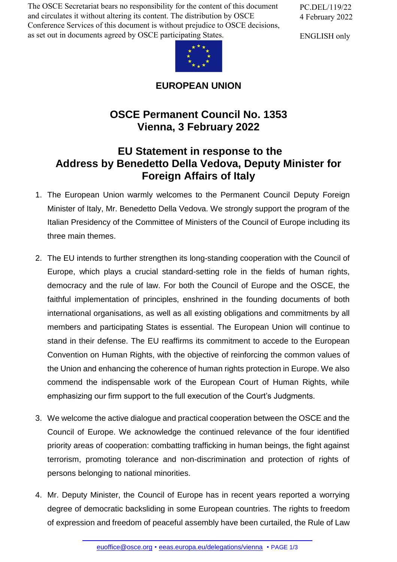The OSCE Secretariat bears no responsibility for the content of this document and circulates it without altering its content. The distribution by OSCE Conference Services of this document is without prejudice to OSCE decisions, as set out in documents agreed by OSCE participating States.

PC.DEL/119/22 4 February 2022

ENGLISH only



## **EUROPEAN UNION**

## **OSCE Permanent Council No. 1353 Vienna, 3 February 2022**

## **EU Statement in response to the Address by Benedetto Della Vedova, Deputy Minister for Foreign Affairs of Italy**

- 1. The European Union warmly welcomes to the Permanent Council Deputy Foreign Minister of Italy, Mr. Benedetto Della Vedova. We strongly support the program of the Italian Presidency of the Committee of Ministers of the Council of Europe including its three main themes.
- 2. The EU intends to further strengthen its long-standing cooperation with the Council of Europe, which plays a crucial standard-setting role in the fields of human rights, democracy and the rule of law. For both the Council of Europe and the OSCE, the faithful implementation of principles, enshrined in the founding documents of both international organisations, as well as all existing obligations and commitments by all members and participating States is essential. The European Union will continue to stand in their defense. The EU reaffirms its commitment to accede to the European Convention on Human Rights, with the objective of reinforcing the common values of the Union and enhancing the coherence of human rights protection in Europe. We also commend the indispensable work of the European Court of Human Rights, while emphasizing our firm support to the full execution of the Court's Judgments.
- 3. We welcome the active dialogue and practical cooperation between the OSCE and the Council of Europe. We acknowledge the continued relevance of the four identified priority areas of cooperation: combatting trafficking in human beings, the fight against terrorism, promoting tolerance and non-discrimination and protection of rights of persons belonging to national minorities.
- 4. Mr. Deputy Minister, the Council of Europe has in recent years reported a worrying degree of democratic backsliding in some European countries. The rights to freedom of expression [and freedom of p](mailto:euoffice@osce.org)[eaceful assembly have been cu](http://eeas.europa.eu/delegations/vienna)rtailed, the Rule of Law

euoffice@osce.org • eeas.europa.eu/delegations/vienna • PAGE 1/3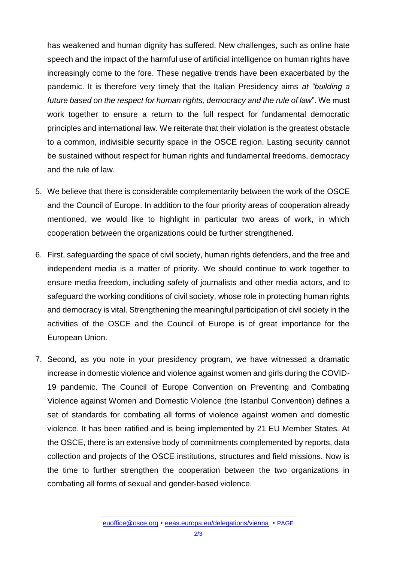has weakened and human dignity has suffered. New challenges, such as online hate speech and the impact of the harmful use of artificial intelligence on human rights have increasingly come to the fore. These negative trends have been exacerbated by the pandemic. It is therefore very timely that the Italian Presidency aims *at "building a future based on the respect for human rights, democracy and the rule of law*". We must work together to ensure a return to the full respect for fundamental democratic principles and international law. We reiterate that their violation is the greatest obstacle to a common, indivisible security space in the OSCE region. Lasting security cannot be sustained without respect for human rights and fundamental freedoms, democracy and the rule of law.

- 5. We believe that there is considerable complementarity between the work of the OSCE and the Council of Europe. In addition to the four priority areas of cooperation already mentioned, we would like to highlight in particular two areas of work, in which cooperation between the organizations could be further strengthened.
- 6. First, safeguarding the space of civil society, human rights defenders, and the free and independent media is a matter of priority. We should continue to work together to ensure media freedom, including safety of journalists and other media actors, and to safeguard the working conditions of civil society, whose role in protecting human rights and democracy is vital. Strengthening the meaningful participation of civil society in the activities of the OSCE and the Council of Europe is of great importance for the European Union.
- 7. Second, as you note in your presidency program, we have witnessed a dramatic increase in domestic violence and violence against women and girls during the COVID-19 pandemic. The Council of Europe Convention on Preventing and Combating Violence against Women and Domestic Violence (the Istanbul Convention) defines a set of standards for combating all forms of violence against women and domestic violence. It has been ratified and is being implemented by 21 EU Member States. At the OSCE, there is an extensive body of commitments complemented by reports, data collection and projects of the OSCE institutions, structures and field missions. Now is the time to further strengthen the cooperation between the two organizations in combating all forms of sexual and gender-based violence.